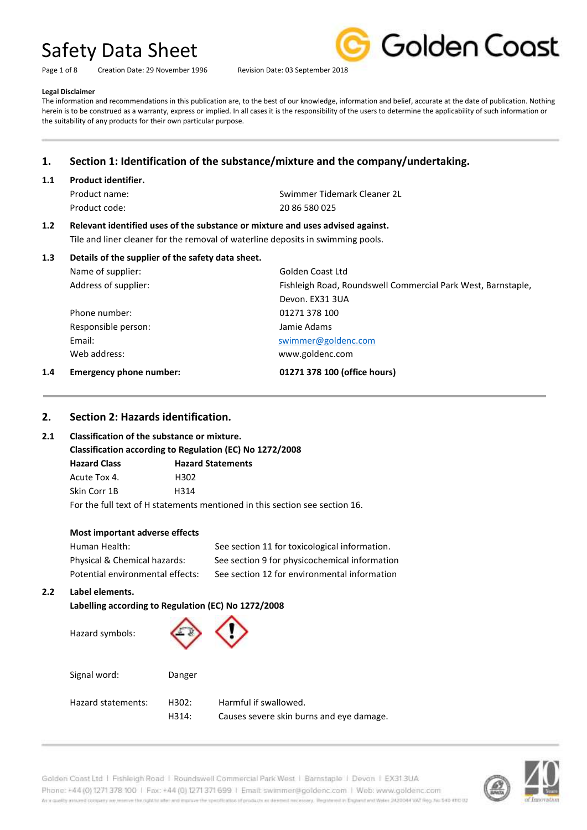Page 1 of 8 Creation Date: 29 November 1996 Revision Date: 03 September 2018



#### **Legal Disclaimer**

The information and recommendations in this publication are, to the best of our knowledge, information and belief, accurate at the date of publication. Nothing herein is to be construed as a warranty, express or implied. In all cases it is the responsibility of the users to determine the applicability of such information or the suitability of any products for their own particular purpose.

### **1. Section 1: Identification of the substance/mixture and the company/undertaking.**

#### **1.1 Product identifier.**

Product code: 20 86 580 025

Product name: Swimmer Tidemark Cleaner 2L

### **1.2 Relevant identified uses of the substance or mixture and uses advised against.**

Tile and liner cleaner for the removal of waterline deposits in swimming pools.

|     |                                | Devon. EX31 3UA              |
|-----|--------------------------------|------------------------------|
|     | Phone number:                  | 01271 378 100                |
|     | Responsible person:            | Jamie Adams                  |
|     | Email:                         | swimmer@goldenc.com          |
|     | Web address:                   | www.goldenc.com              |
| 1.4 | <b>Emergency phone number:</b> | 01271 378 100 (office hours) |

#### **2. Section 2: Hazards identification.**

#### **2.1 Classification of the substance or mixture.**

**Classification according to Regulation (EC) No 1272/2008**

| <b>Hazard Class</b> | <b>Hazard Statements</b> |
|---------------------|--------------------------|
| Acute Tox 4.        | H302                     |
| Skin Corr 1B        | H314                     |

For the full text of H statements mentioned in this section see section 16.

#### **Most important adverse effects**

| Human Health:                    | See section 11 for toxicological information. |
|----------------------------------|-----------------------------------------------|
| Physical & Chemical hazards:     | See section 9 for physicochemical information |
| Potential environmental effects: | See section 12 for environmental information  |

#### **2.2 Label elements.**

**Labelling according to Regulation (EC) No 1272/2008**

| Hazard symbols:    |                |                                                                   |
|--------------------|----------------|-------------------------------------------------------------------|
| Signal word:       | Danger         |                                                                   |
| Hazard statements: | H302:<br>H314: | Harmful if swallowed.<br>Causes severe skin burns and eye damage. |

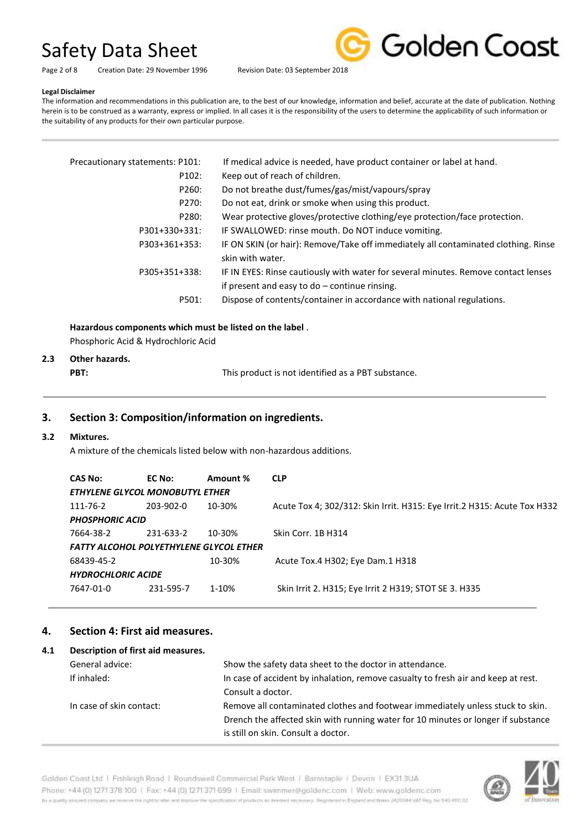Golden Coast

Page 2 of 8 Creation Date: 29 November 1996 Revision Date: 03 September 2018

#### **Legal Disclaimer**

The information and recommendations in this publication are, to the best of our knowledge, information and belief, accurate at the date of publication. Nothing herein is to be construed as a warranty, express or implied. In all cases it is the responsibility of the users to determine the applicability of such information or the suitability of any products for their own particular purpose.

| Precautionary statements: P101: | If medical advice is needed, have product container or label at hand.                                                                 |
|---------------------------------|---------------------------------------------------------------------------------------------------------------------------------------|
| P102:                           | Keep out of reach of children.                                                                                                        |
| P260:                           | Do not breathe dust/fumes/gas/mist/vapours/spray                                                                                      |
| P270:                           | Do not eat, drink or smoke when using this product.                                                                                   |
| P280:                           | Wear protective gloves/protective clothing/eye protection/face protection.                                                            |
| P301+330+331:                   | IF SWALLOWED: rinse mouth. Do NOT induce vomiting.                                                                                    |
| P303+361+353:                   | IF ON SKIN (or hair): Remove/Take off immediately all contaminated clothing. Rinse<br>skin with water.                                |
| P305+351+338:                   | IF IN EYES: Rinse cautiously with water for several minutes. Remove contact lenses<br>if present and easy to $do$ – continue rinsing. |
| P501:                           | Dispose of contents/container in accordance with national regulations.                                                                |

#### **Hazardous components which must be listed on the label** .

Phosphoric Acid & Hydrochloric Acid

### **2.3 Other hazards.**

**PBT: This product is not identified as a PBT substance.** 

#### **3. Section 3: Composition/information on ingredients.**

#### **3.2 Mixtures.**

A mixture of the chemicals listed below with non-hazardous additions.

| <b>CAS No:</b>                                 | EC No:      | Amount % | <b>CLP</b>                                                               |  |  |
|------------------------------------------------|-------------|----------|--------------------------------------------------------------------------|--|--|
| <b>ETHYLENE GLYCOL MONOBUTYL ETHER</b>         |             |          |                                                                          |  |  |
| 111-76-2                                       | $203-902-0$ | 10-30%   | Acute Tox 4; 302/312: Skin Irrit. H315: Eye Irrit.2 H315: Acute Tox H332 |  |  |
| <b>PHOSPHORIC ACID</b>                         |             |          |                                                                          |  |  |
| 7664-38-2                                      | 231-633-2   | 10-30%   | Skin Corr. 1B H314                                                       |  |  |
| <b>FATTY ALCOHOL POLYETHYLENE GLYCOL ETHER</b> |             |          |                                                                          |  |  |
| 68439-45-2                                     |             | 10-30%   | Acute Tox.4 H302; Eye Dam.1 H318                                         |  |  |
| <b>HYDROCHLORIC ACIDE</b>                      |             |          |                                                                          |  |  |
| 7647-01-0                                      | 231-595-7   | 1-10%    | Skin Irrit 2. H315; Eye Irrit 2 H319; STOT SE 3. H335                    |  |  |
|                                                |             |          |                                                                          |  |  |

#### **4. Section 4: First aid measures.**

| 4.1 | Description of first aid measures. |                                                                                   |
|-----|------------------------------------|-----------------------------------------------------------------------------------|
|     | General advice:                    | Show the safety data sheet to the doctor in attendance.                           |
|     | If inhaled:                        | In case of accident by inhalation, remove casualty to fresh air and keep at rest. |
|     |                                    | Consult a doctor.                                                                 |
|     | In case of skin contact:           | Remove all contaminated clothes and footwear immediately unless stuck to skin.    |
|     |                                    | Drench the affected skin with running water for 10 minutes or longer if substance |
|     |                                    | is still on skin. Consult a doctor.                                               |



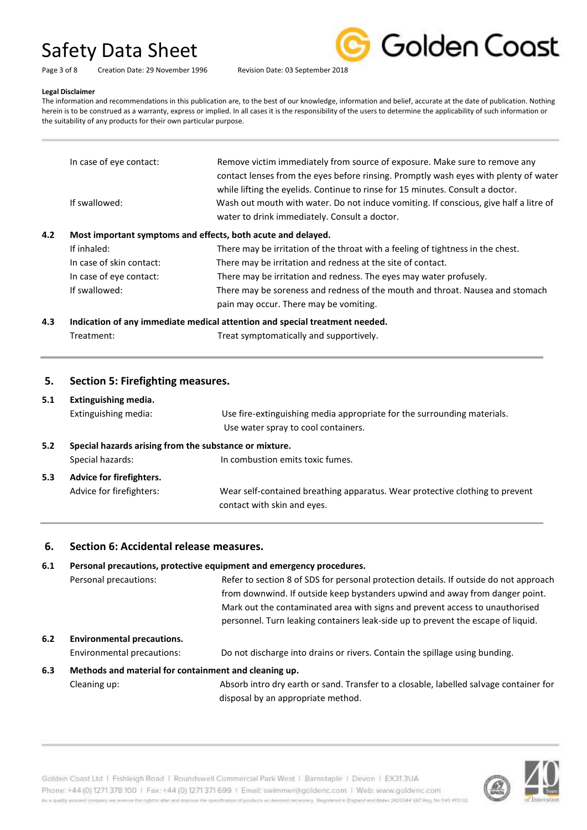Golden Coast

Page 3 of 8 Creation Date: 29 November 1996 Revision Date: 03 September 2018

#### **Legal Disclaimer**

The information and recommendations in this publication are, to the best of our knowledge, information and belief, accurate at the date of publication. Nothing herein is to be construed as a warranty, express or implied. In all cases it is the responsibility of the users to determine the applicability of such information or the suitability of any products for their own particular purpose.

| In case of eye contact:                                             | Remove victim immediately from source of exposure. Make sure to remove any<br>contact lenses from the eyes before rinsing. Promptly wash eyes with plenty of water                                                       |
|---------------------------------------------------------------------|--------------------------------------------------------------------------------------------------------------------------------------------------------------------------------------------------------------------------|
| If swallowed:                                                       | while lifting the eyelids. Continue to rinse for 15 minutes. Consult a doctor.<br>Wash out mouth with water. Do not induce vomiting. If conscious, give half a litre of<br>water to drink immediately. Consult a doctor. |
| 4.2<br>Most important symptoms and effects, both acute and delayed. |                                                                                                                                                                                                                          |
| If inhaled:                                                         | There may be irritation of the throat with a feeling of tightness in the chest.                                                                                                                                          |
| In case of skin contact:                                            | There may be irritation and redness at the site of contact.                                                                                                                                                              |
| In case of eye contact:                                             | There may be irritation and redness. The eyes may water profusely.                                                                                                                                                       |
| If swallowed:                                                       | There may be soreness and redness of the mouth and throat. Nausea and stomach<br>pain may occur. There may be vomiting.                                                                                                  |
|                                                                     |                                                                                                                                                                                                                          |

#### **4.3 Indication of any immediate medical attention and special treatment needed.** Treatment: Treat symptomatically and supportively.

#### **5. Section 5: Firefighting measures.**

#### **5.1 Extinguishing media.**

|                                                               | Extinguishing media:     | Use fire-extinguishing media appropriate for the surrounding materials.<br>Use water spray to cool containers. |
|---------------------------------------------------------------|--------------------------|----------------------------------------------------------------------------------------------------------------|
| Special hazards arising from the substance or mixture.<br>5.2 |                          |                                                                                                                |
|                                                               | Special hazards:         | In combustion emits toxic fumes.                                                                               |
| Advice for firefighters.<br>5.3                               |                          |                                                                                                                |
|                                                               | Advice for firefighters: | Wear self-contained breathing apparatus. Wear protective clothing to prevent<br>contact with skin and eyes.    |

#### **6. Section 6: Accidental release measures.**

### **6.1 Personal precautions, protective equipment and emergency procedures.** Personal precautions: Refer to section 8 of SDS for personal protection details. If outside do not approach from downwind. If outside keep bystanders upwind and away from danger point. Mark out the contaminated area with signs and prevent access to unauthorised personnel. Turn leaking containers leak-side up to prevent the escape of liquid. **6.2 Environmental precautions.** Environmental precautions: Do not discharge into drains or rivers. Contain the spillage using bunding. **6.3 Methods and material for containment and cleaning up.**

Cleaning up: Absorb intro dry earth or sand. Transfer to a closable, labelled salvage container for disposal by an appropriate method.



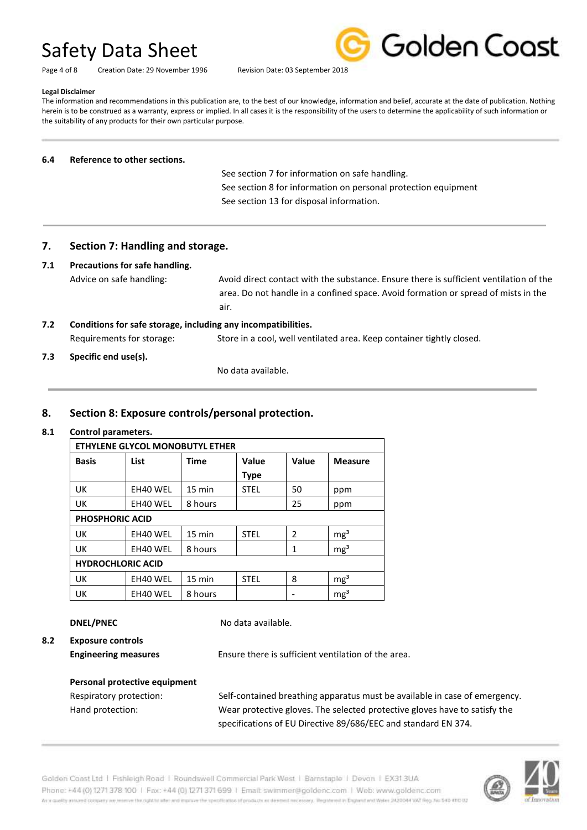Page 4 of 8 Creation Date: 29 November 1996 Revision Date: 03 September 2018



#### **Legal Disclaimer**

The information and recommendations in this publication are, to the best of our knowledge, information and belief, accurate at the date of publication. Nothing herein is to be construed as a warranty, express or implied. In all cases it is the responsibility of the users to determine the applicability of such information or the suitability of any products for their own particular purpose.

#### **6.4 Reference to other sections.**

 See section 7 for information on safe handling. See section 8 for information on personal protection equipment See section 13 for disposal information.

#### **7. Section 7: Handling and storage.**

#### **7.1 Precautions for safe handling.**

Advice on safe handling: Avoid direct contact with the substance. Ensure there is sufficient ventilation of the area. Do not handle in a confined space. Avoid formation or spread of mists in the air.

### **7.2 Conditions for safe storage, including any incompatibilities.** Requirements for storage: Store in a cool, well ventilated area. Keep container tightly closed.

#### **7.3 Specific end use(s).**

No data available.

#### **8. Section 8: Exposure controls/personal protection.**

#### **8.1 Control parameters.**

| ETHYLENE GLYCOL MONOBUTYL ETHER |          |                  |              |                          |                 |
|---------------------------------|----------|------------------|--------------|--------------------------|-----------------|
| <b>Basis</b>                    | List     | <b>Time</b>      | <b>Value</b> | Value                    | <b>Measure</b>  |
|                                 |          |                  | <b>Type</b>  |                          |                 |
| UK                              | EH40 WEL | $15 \text{ min}$ | <b>STEL</b>  | 50                       | ppm             |
| UK                              | EH40 WEL | 8 hours          |              | 25                       | ppm             |
| <b>PHOSPHORIC ACID</b>          |          |                  |              |                          |                 |
| UK                              | EH40 WEL | 15 min           | <b>STEL</b>  | $\overline{\phantom{a}}$ | mg <sup>3</sup> |
| UK                              | EH40 WEL | 8 hours          |              | 1                        | mg <sup>3</sup> |
| <b>HYDROCHLORIC ACID</b>        |          |                  |              |                          |                 |
| UK                              | EH40 WEL | 15 min           | <b>STEL</b>  | 8                        | mg <sup>3</sup> |
| UK                              | EH40 WEL | 8 hours          |              |                          | mg <sup>3</sup> |

**DNEL/PNEC** No data available.

**8.2 Exposure controls**

**Engineering measures** Ensure there is sufficient ventilation of the area.

# **Personal protective equipment**

Respiratory protection: Self-contained breathing apparatus must be available in case of emergency. Hand protection: Wear protective gloves. The selected protective gloves have to satisfy the specifications of EU Directive 89/686/EEC and standard EN 374.

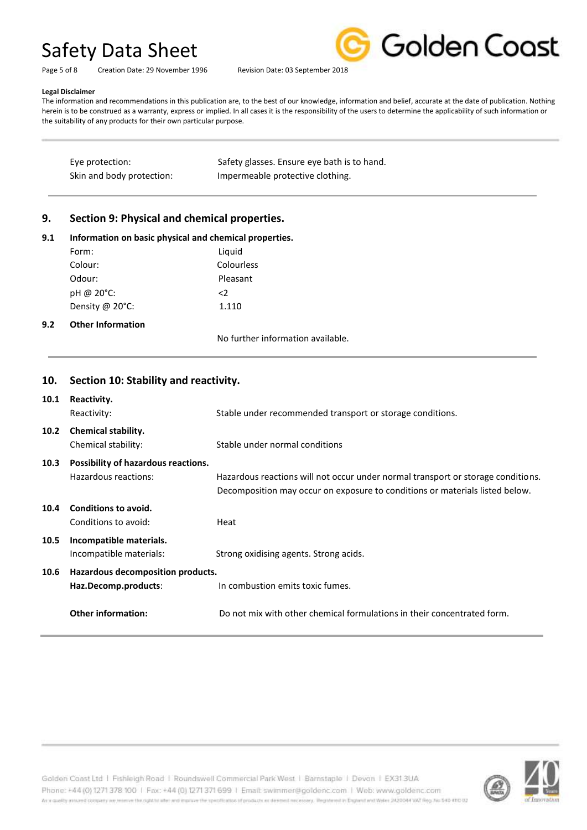

Page 5 of 8 Creation Date: 29 November 1996 Revision Date: 03 September 2018

#### **Legal Disclaimer**

The information and recommendations in this publication are, to the best of our knowledge, information and belief, accurate at the date of publication. Nothing herein is to be construed as a warranty, express or implied. In all cases it is the responsibility of the users to determine the applicability of such information or the suitability of any products for their own particular purpose.

| Eye protection:           | Safety glasses. Ensure eye bath is to hand. |
|---------------------------|---------------------------------------------|
| Skin and body protection: | Impermeable protective clothing.            |

#### **9. Section 9: Physical and chemical properties.**

| 9.1<br>9.2 | Information on basic physical and chemical properties. |                                   |  |  |
|------------|--------------------------------------------------------|-----------------------------------|--|--|
|            | Form:                                                  | Liquid                            |  |  |
|            | Colour:                                                | Colourless                        |  |  |
|            | Odour:                                                 | Pleasant                          |  |  |
|            | pH @ 20°C:                                             | $\langle 2 \rangle$               |  |  |
|            | Density @ $20^{\circ}$ C:                              | 1.110                             |  |  |
|            | <b>Other Information</b>                               |                                   |  |  |
|            |                                                        | No further information available. |  |  |

### **10. Section 10: Stability and reactivity. 10.1 Reactivity.** Reactivity: Stable under recommended transport or storage conditions. **10.2 Chemical stability.** Chemical stability: Stable under normal conditions **10.3 Possibility of hazardous reactions.** Hazardous reactions: Hazardous reactions will not occur under normal transport or storage conditions. Decomposition may occur on exposure to conditions or materials listed below. **10.4 Conditions to avoid.** Conditions to avoid: The Heat **10.5 Incompatible materials.** Incompatible materials: Strong oxidising agents. Strong acids. **10.6 Hazardous decomposition products. Haz.Decomp.products**: In combustion emits toxic fumes. **Other information:** Do not mix with other chemical formulations in their concentrated form.



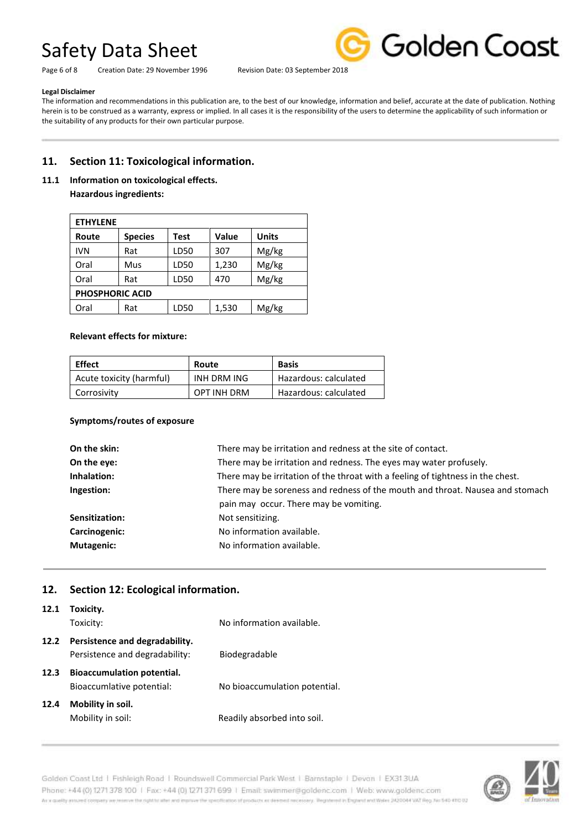Page 6 of 8 Creation Date: 29 November 1996 Revision Date: 03 September 2018



#### **Legal Disclaimer**

The information and recommendations in this publication are, to the best of our knowledge, information and belief, accurate at the date of publication. Nothing herein is to be construed as a warranty, express or implied. In all cases it is the responsibility of the users to determine the applicability of such information or the suitability of any products for their own particular purpose.

#### **11. Section 11: Toxicological information.**

**11.1 Information on toxicological effects.**

**Hazardous ingredients:**

| <b>ETHYLENE</b>        |                |      |       |              |  |  |
|------------------------|----------------|------|-------|--------------|--|--|
| Route                  | <b>Species</b> | Test | Value | <b>Units</b> |  |  |
| <b>IVN</b>             | Rat            | LD50 | 307   | Mg/kg        |  |  |
| Oral                   | Mus            | LD50 | 1,230 | Mg/kg        |  |  |
| Oral                   | Rat            | LD50 | 470   | Mg/kg        |  |  |
| <b>PHOSPHORIC ACID</b> |                |      |       |              |  |  |
| Oral                   | Rat            | LD50 | 1,530 | Mg/kg        |  |  |

#### **Relevant effects for mixture:**

| <b>Effect</b>            | Route       | <b>Basis</b>          |
|--------------------------|-------------|-----------------------|
| Acute toxicity (harmful) | INH DRM ING | Hazardous: calculated |
| Corrosivity              | OPT INH DRM | Hazardous: calculated |

#### **Symptoms/routes of exposure**

| On the skin:      | There may be irritation and redness at the site of contact.                     |  |
|-------------------|---------------------------------------------------------------------------------|--|
| On the eye:       | There may be irritation and redness. The eyes may water profusely.              |  |
| Inhalation:       | There may be irritation of the throat with a feeling of tightness in the chest. |  |
| Ingestion:        | There may be soreness and redness of the mouth and throat. Nausea and stomach   |  |
|                   | pain may occur. There may be vomiting.                                          |  |
| Sensitization:    | Not sensitizing.                                                                |  |
| Carcinogenic:     | No information available.                                                       |  |
| <b>Mutagenic:</b> | No information available.                                                       |  |
|                   |                                                                                 |  |

#### **12. Section 12: Ecological information.**

| 12.1 | Toxicity.<br>Toxicity:                                           | No information available.     |
|------|------------------------------------------------------------------|-------------------------------|
| 12.2 | Persistence and degradability.<br>Persistence and degradability: | Biodegradable                 |
| 12.3 | <b>Bioaccumulation potential.</b><br>Bioaccumlative potential:   | No bioaccumulation potential. |
| 12.4 | Mobility in soil.<br>Mobility in soil:                           | Readily absorbed into soil.   |



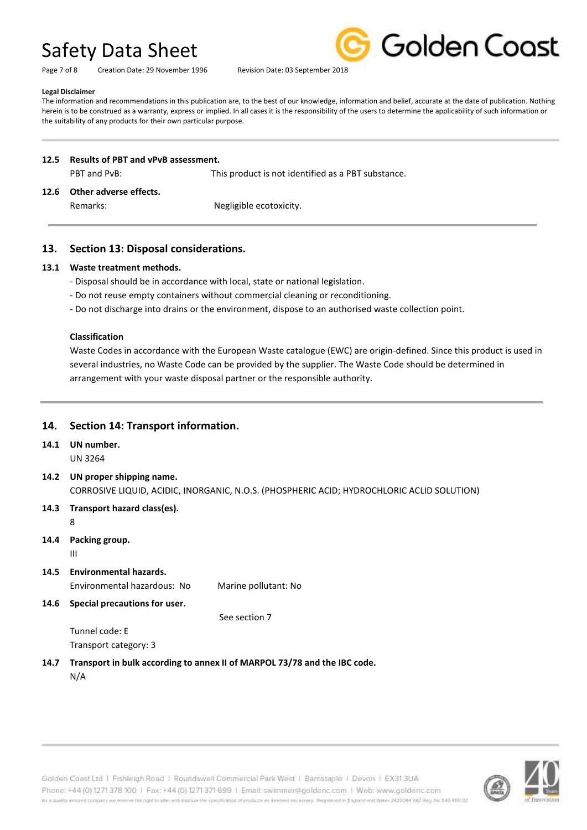Page 7 of 8 Creation Date: 29 November 1996 Revision Date: 03 September 2018



#### **Legal Disclaimer**

The information and recommendations in this publication are, to the best of our knowledge, information and belief, accurate at the date of publication. Nothing herein is to be construed as a warranty, express or implied. In all cases it is the responsibility of the users to determine the applicability of such information or the suitability of any products for their own particular purpose.

#### **12.5 Results of PBT and vPvB assessment.**

PBT and PvB: This product is not identified as a PBT substance.

#### **12.6 Other adverse effects.**

Remarks: Negligible ecotoxicity.

#### **13. Section 13: Disposal considerations.**

#### **13.1 Waste treatment methods.**

- Disposal should be in accordance with local, state or national legislation.
- Do not reuse empty containers without commercial cleaning or reconditioning.
- Do not discharge into drains or the environment, dispose to an authorised waste collection point.

#### **Classification**

Waste Codes in accordance with the European Waste catalogue (EWC) are origin-defined. Since this product is used in several industries, no Waste Code can be provided by the supplier. The Waste Code should be determined in arrangement with your waste disposal partner or the responsible authority.

#### **14. Section 14: Transport information.**

**14.1 UN number.**

UN 3264

- **14.2 UN proper shipping name.** CORROSIVE LIQUID, ACIDIC, INORGANIC, N.O.S. (PHOSPHERIC ACID; HYDROCHLORIC ACLID SOLUTION)
- **14.3 Transport hazard class(es).**

8

**14.4 Packing group.**

III

- **14.5 Environmental hazards.** Environmental hazardous: No Marine pollutant: No
- **14.6 Special precautions for user.**

See section 7

Tunnel code: E Transport category: 3

**14.7 Transport in bulk according to annex II of MARPOL 73/78 and the IBC code.** N/A